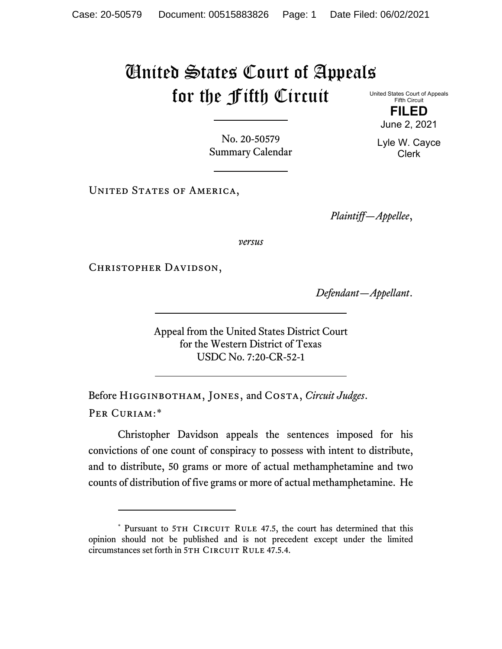## United States Court of Appeals for the Fifth Circuit

United States Court of Appeals Fifth Circuit

**FILED** June 2, 2021

No. 20-50579 Summary Calendar

UNITED STATES OF AMERICA,

*Plaintiff—Appellee*,

*versus*

Christopher Davidson,

*Defendant—Appellant*.

Appeal from the United States District Court for the Western District of Texas USDC No. 7:20-CR-52-1

Before Higginbotham, Jones, and Costa, *Circuit Judges*. Per Curiam:[\\*](#page-0-0)

Christopher Davidson appeals the sentences imposed for his convictions of one count of conspiracy to possess with intent to distribute, and to distribute, 50 grams or more of actual methamphetamine and two counts of distribution of five grams or more of actual methamphetamine. He

Lyle W. Cayce Clerk

<span id="page-0-0"></span><sup>\*</sup> Pursuant to 5TH CIRCUIT RULE 47.5, the court has determined that this opinion should not be published and is not precedent except under the limited circumstances set forth in 5TH CIRCUIT RULE 47.5.4.